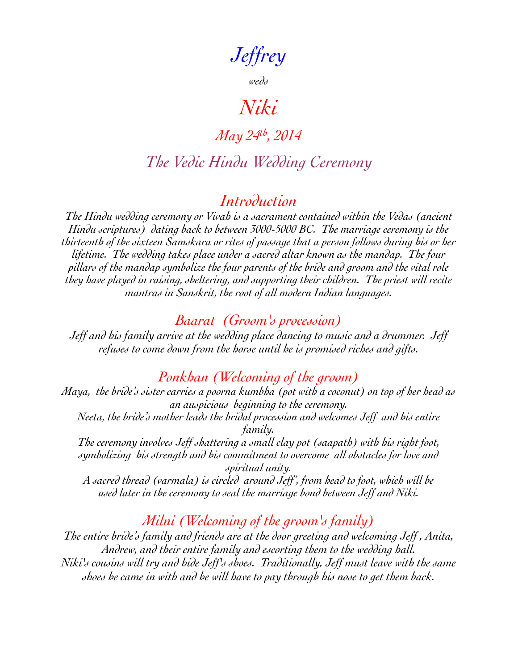*Jeffrey*

*weds*

# *Niki*

# *May 24th, 2014*

# *The Vedic Hindu Wedding Ceremony*

## *Introduction*

*The Hindu wedding ceremony or Vivah is a sacrament contained within the Vedas (ancient Hindu scriptures) dating back to between 3000-5000 BC. The marriage ceremony is the thirteenth of the sixteen Samskara or rites of passage that a person follows during his or her lifetime. The wedding takes place under a sacred altar known as the mandap. The four pillars of the mandap symbolize the four parents of the bride and groom and the vital role they have played in raising, sheltering, and supporting their children. The priest will recite mantras in Sanskrit, the root of all modern Indian languages.*

#### *Baarat (Groom's procession)*

*Jeff and his family arrive at the wedding place dancing to music and a drummer. Jeff refuses to come down from the horse until he is promised riches and gifts.*

### *Ponkhan (Welcoming of the groom)*

*Maya, the bride's sister carries a poorna kumbha (pot with a coconut) on top of her head as an auspicious beginning to the ceremony. Neeta, the bride's mother leads the bridal procession and welcomes Jeff and his entire family.*

*The ceremony involves Jeff shattering a small clay pot (saapath) with his right foot, symbolizing his strength and his commitment to overcome all obstacles for love and spiritual unity.*

*A sacred thread (varmala) is circled around Jeff', from head to foot, which will be used later in the ceremony to seal the marriage bond between Jeff and Niki.*

## *Milni (Welcoming of the groom's family)*

*The entire bride's family and friends are at the door greeting and welcoming Jeff , Anita, Andrew, and their entire family and escorting them to the wedding hall. Niki's cousins will try and hide Jeff's shoes. Traditionally, Jeff must leave with the same shoes he came in with and he will have to pay through his nose to get them back.*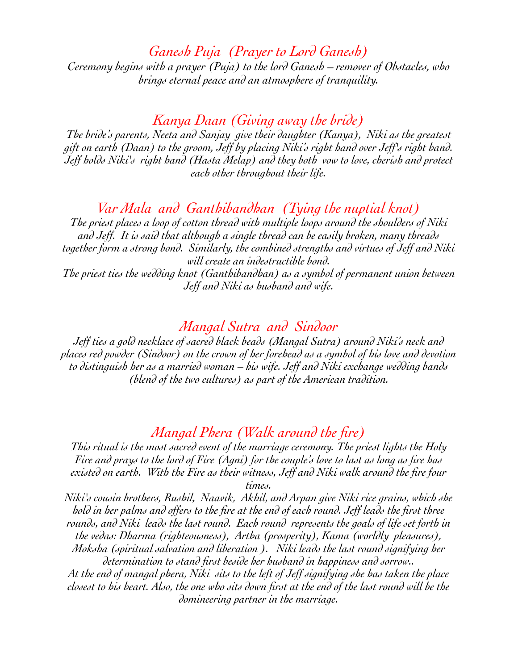*Ganesh Puja (Prayer to Lord Ganesh)*

*Ceremony begins with a prayer (Puja) to the lord Ganesh – remover of Obstacles, who brings eternal peace and an atmosphere of tranquility.*

*Kanya Daan (Giving away the bride)*

*The bride's parents, Neeta and Sanjay give their daughter (Kanya), Niki as the greatest gift on earth (Daan) to the groom, Jeff by placing Niki's right hand over Jeff's right hand. Jeff holds Niki's right hand (Hasta Melap) and they both vow to love, cherish and protect each other throughout their life.*

## *Var Mala and Ganthibandhan (Tying the nuptial knot)*

*The priest places a loop of cotton thread with multiple loops around the shoulders of Niki and Jeff. It is said that although a single thread can be easily broken, many threads together form a strong bond. Similarly, the combined strengths and virtues of Jeff and Niki will create an indestructible bond. The priest ties the wedding knot (Ganthibandhan) as a symbol of permanent union between Jeff and Niki as husband and wife.*

#### *Mangal Sutra and Sindoor*

*Jeff ties a gold necklace of sacred black beads (Mangal Sutra) around Niki's neck and places red powder (Sindoor) on the crown of her forehead as a symbol of his love and devotion to distinguish her as a married woman – his wife. Jeff and Niki exchange wedding bands (blend of the two cultures) as part of the American tradition.*

#### *Mangal Phera (Walk around the fire)*

*This ritual is the most sacred event of the marriage ceremony. The priest lights the Holy Fire and prays to the lord of Fire (Agni) for the couple's love to last as long as fire has existed on earth. With the Fire as their witness, Jeff and Niki walk around the fire four times.*

*Niki's cousin brothers, Rushil, Naavik, Akhil, and Arpan give Niki rice grains, which she hold in her palms and offers to the fire at the end of each round. Jeff leads the first three rounds, and Niki leads the last round. Each round represents the goals of life set forth in the vedas: Dharma (righteousness), Artha (prosperity), Kama (worldly pleasures),* 

*Moksha (spiritual salvation and liberation ). Niki leads the last round signifying her determination to stand first beside her husband in happiness and sorrow..*

*At the end of mangal phera, Niki sits to the left of Jeff signifying she has taken the place closest to his heart. Also, the one who sits down first at the end of the last round will be the domineering partner in the marriage.*